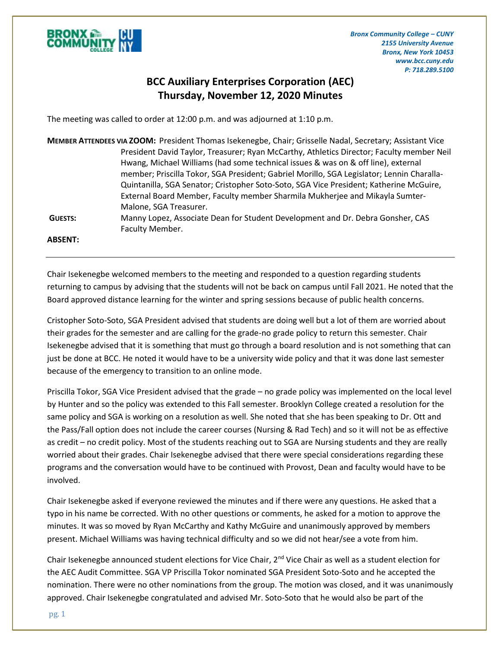

## **BCC Auxiliary Enterprises Corporation (AEC) Thursday, November 12, 2020 Minutes**

The meeting was called to order at 12:00 p.m. and was adjourned at 1:10 p.m.

| MEMBER ATTENDEES VIA ZOOM: President Thomas Isekenegbe, Chair; Grisselle Nadal, Secretary; Assistant Vice |                                                                                           |
|-----------------------------------------------------------------------------------------------------------|-------------------------------------------------------------------------------------------|
|                                                                                                           | President David Taylor, Treasurer; Ryan McCarthy, Athletics Director; Faculty member Neil |
|                                                                                                           | Hwang, Michael Williams (had some technical issues & was on & off line), external         |
|                                                                                                           | member; Priscilla Tokor, SGA President; Gabriel Morillo, SGA Legislator; Lennin Charalla- |
|                                                                                                           | Quintanilla, SGA Senator; Cristopher Soto-Soto, SGA Vice President; Katherine McGuire,    |
|                                                                                                           | External Board Member, Faculty member Sharmila Mukherjee and Mikayla Sumter-              |
|                                                                                                           | Malone, SGA Treasurer.                                                                    |
| <b>GUESTS:</b>                                                                                            | Manny Lopez, Associate Dean for Student Development and Dr. Debra Gonsher, CAS            |
|                                                                                                           | Faculty Member.                                                                           |
| <b>ABSENT:</b>                                                                                            |                                                                                           |

Chair Isekenegbe welcomed members to the meeting and responded to a question regarding students returning to campus by advising that the students will not be back on campus until Fall 2021. He noted that the Board approved distance learning for the winter and spring sessions because of public health concerns.

Cristopher Soto-Soto, SGA President advised that students are doing well but a lot of them are worried about their grades for the semester and are calling for the grade-no grade policy to return this semester. Chair Isekenegbe advised that it is something that must go through a board resolution and is not something that can just be done at BCC. He noted it would have to be a university wide policy and that it was done last semester because of the emergency to transition to an online mode.

Priscilla Tokor, SGA Vice President advised that the grade – no grade policy was implemented on the local level by Hunter and so the policy was extended to this Fall semester. Brooklyn College created a resolution for the same policy and SGA is working on a resolution as well. She noted that she has been speaking to Dr. Ott and the Pass/Fall option does not include the career courses (Nursing & Rad Tech) and so it will not be as effective as credit – no credit policy. Most of the students reaching out to SGA are Nursing students and they are really worried about their grades. Chair Isekenegbe advised that there were special considerations regarding these programs and the conversation would have to be continued with Provost, Dean and faculty would have to be involved.

Chair Isekenegbe asked if everyone reviewed the minutes and if there were any questions. He asked that a typo in his name be corrected. With no other questions or comments, he asked for a motion to approve the minutes. It was so moved by Ryan McCarthy and Kathy McGuire and unanimously approved by members present. Michael Williams was having technical difficulty and so we did not hear/see a vote from him.

Chair Isekenegbe announced student elections for Vice Chair,  $2^{nd}$  Vice Chair as well as a student election for the AEC Audit Committee. SGA VP Priscilla Tokor nominated SGA President Soto-Soto and he accepted the nomination. There were no other nominations from the group. The motion was closed, and it was unanimously approved. Chair Isekenegbe congratulated and advised Mr. Soto-Soto that he would also be part of the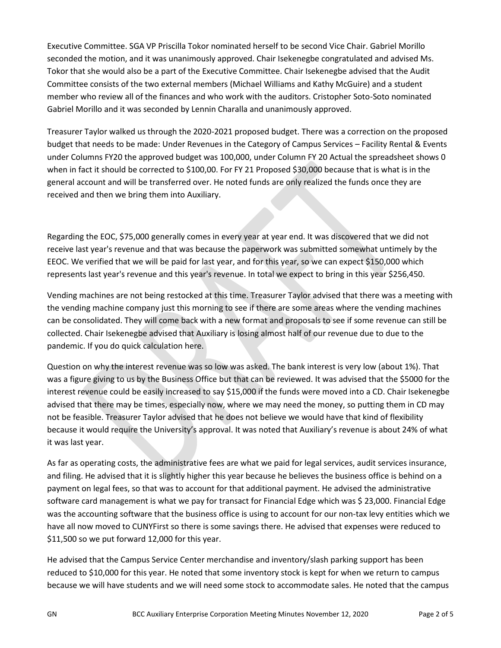Executive Committee. SGA VP Priscilla Tokor nominated herself to be second Vice Chair. Gabriel Morillo seconded the motion, and it was unanimously approved. Chair Isekenegbe congratulated and advised Ms. Tokor that she would also be a part of the Executive Committee. Chair Isekenegbe advised that the Audit Committee consists of the two external members (Michael Williams and Kathy McGuire) and a student member who review all of the finances and who work with the auditors. Cristopher Soto-Soto nominated Gabriel Morillo and it was seconded by Lennin Charalla and unanimously approved.

Treasurer Taylor walked us through the 2020-2021 proposed budget. There was a correction on the proposed budget that needs to be made: Under Revenues in the Category of Campus Services – Facility Rental & Events under Columns FY20 the approved budget was 100,000, under Column FY 20 Actual the spreadsheet shows 0 when in fact it should be corrected to \$100,00. For FY 21 Proposed \$30,000 because that is what is in the general account and will be transferred over. He noted funds are only realized the funds once they are received and then we bring them into Auxiliary.

Regarding the EOC, \$75,000 generally comes in every year at year end. It was discovered that we did not receive last year's revenue and that was because the paperwork was submitted somewhat untimely by the EEOC. We verified that we will be paid for last year, and for this year, so we can expect \$150,000 which represents last year's revenue and this year's revenue. In total we expect to bring in this year \$256,450.

Vending machines are not being restocked at this time. Treasurer Taylor advised that there was a meeting with the vending machine company just this morning to see if there are some areas where the vending machines can be consolidated. They will come back with a new format and proposals to see if some revenue can still be collected. Chair Isekenegbe advised that Auxiliary is losing almost half of our revenue due to due to the pandemic. If you do quick calculation here.

Question on why the interest revenue was so low was asked. The bank interest is very low (about 1%). That was a figure giving to us by the Business Office but that can be reviewed. It was advised that the \$5000 for the interest revenue could be easily increased to say \$15,000 if the funds were moved into a CD. Chair Isekenegbe advised that there may be times, especially now, where we may need the money, so putting them in CD may not be feasible. Treasurer Taylor advised that he does not believe we would have that kind of flexibility because it would require the University's approval. It was noted that Auxiliary's revenue is about 24% of what it was last year.

As far as operating costs, the administrative fees are what we paid for legal services, audit services insurance, and filing. He advised that it is slightly higher this year because he believes the business office is behind on a payment on legal fees, so that was to account for that additional payment. He advised the administrative software card management is what we pay for transact for Financial Edge which was \$ 23,000. Financial Edge was the accounting software that the business office is using to account for our non-tax levy entities which we have all now moved to CUNYFirst so there is some savings there. He advised that expenses were reduced to \$11,500 so we put forward 12,000 for this year.

He advised that the Campus Service Center merchandise and inventory/slash parking support has been reduced to \$10,000 for this year. He noted that some inventory stock is kept for when we return to campus because we will have students and we will need some stock to accommodate sales. He noted that the campus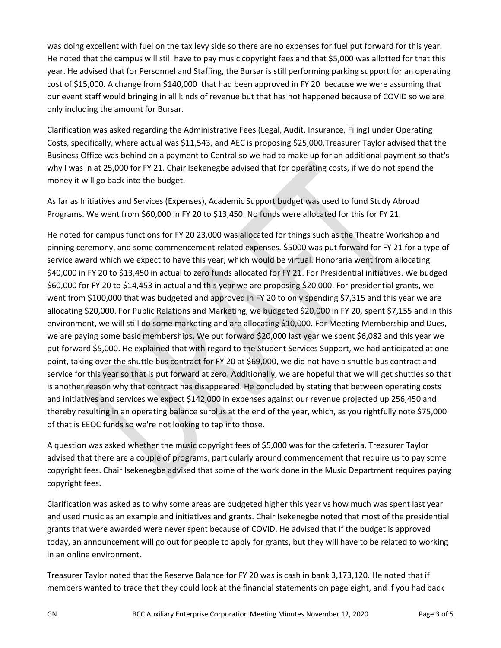was doing excellent with fuel on the tax levy side so there are no expenses for fuel put forward for this year. He noted that the campus will still have to pay music copyright fees and that \$5,000 was allotted for that this year. He advised that for Personnel and Staffing, the Bursar is still performing parking support for an operating cost of \$15,000. A change from \$140,000 that had been approved in FY 20 because we were assuming that our event staff would bringing in all kinds of revenue but that has not happened because of COVID so we are only including the amount for Bursar.

Clarification was asked regarding the Administrative Fees (Legal, Audit, Insurance, Filing) under Operating Costs, specifically, where actual was \$11,543, and AEC is proposing \$25,000.Treasurer Taylor advised that the Business Office was behind on a payment to Central so we had to make up for an additional payment so that's why I was in at 25,000 for FY 21. Chair Isekenegbe advised that for operating costs, if we do not spend the money it will go back into the budget.

As far as Initiatives and Services (Expenses), Academic Support budget was used to fund Study Abroad Programs. We went from \$60,000 in FY 20 to \$13,450. No funds were allocated for this for FY 21.

He noted for campus functions for FY 20 23,000 was allocated for things such as the Theatre Workshop and pinning ceremony, and some commencement related expenses. \$5000 was put forward for FY 21 for a type of service award which we expect to have this year, which would be virtual. Honoraria went from allocating \$40,000 in FY 20 to \$13,450 in actual to zero funds allocated for FY 21. For Presidential initiatives. We budged \$60,000 for FY 20 to \$14,453 in actual and this year we are proposing \$20,000. For presidential grants, we went from \$100,000 that was budgeted and approved in FY 20 to only spending \$7,315 and this year we are allocating \$20,000. For Public Relations and Marketing, we budgeted \$20,000 in FY 20, spent \$7,155 and in this environment, we will still do some marketing and are allocating \$10,000. For Meeting Membership and Dues, we are paying some basic memberships. We put forward \$20,000 last year we spent \$6,082 and this year we put forward \$5,000. He explained that with regard to the Student Services Support, we had anticipated at one point, taking over the shuttle bus contract for FY 20 at \$69,000, we did not have a shuttle bus contract and service for this year so that is put forward at zero. Additionally, we are hopeful that we will get shuttles so that is another reason why that contract has disappeared. He concluded by stating that between operating costs and initiatives and services we expect \$142,000 in expenses against our revenue projected up 256,450 and thereby resulting in an operating balance surplus at the end of the year, which, as you rightfully note \$75,000 of that is EEOC funds so we're not looking to tap into those.

A question was asked whether the music copyright fees of \$5,000 was for the cafeteria. Treasurer Taylor advised that there are a couple of programs, particularly around commencement that require us to pay some copyright fees. Chair Isekenegbe advised that some of the work done in the Music Department requires paying copyright fees.

Clarification was asked as to why some areas are budgeted higher this year vs how much was spent last year and used music as an example and initiatives and grants. Chair Isekenegbe noted that most of the presidential grants that were awarded were never spent because of COVID. He advised that If the budget is approved today, an announcement will go out for people to apply for grants, but they will have to be related to working in an online environment.

Treasurer Taylor noted that the Reserve Balance for FY 20 was is cash in bank 3,173,120. He noted that if members wanted to trace that they could look at the financial statements on page eight, and if you had back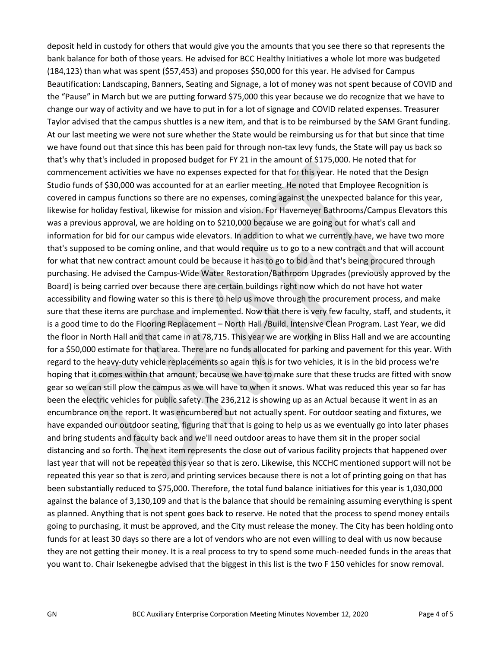deposit held in custody for others that would give you the amounts that you see there so that represents the bank balance for both of those years. He advised for BCC Healthy Initiatives a whole lot more was budgeted (184,123) than what was spent (\$57,453) and proposes \$50,000 for this year. He advised for Campus Beautification: Landscaping, Banners, Seating and Signage, a lot of money was not spent because of COVID and the "Pause" in March but we are putting forward \$75,000 this year because we do recognize that we have to change our way of activity and we have to put in for a lot of signage and COVID related expenses. Treasurer Taylor advised that the campus shuttles is a new item, and that is to be reimbursed by the SAM Grant funding. At our last meeting we were not sure whether the State would be reimbursing us for that but since that time we have found out that since this has been paid for through non-tax levy funds, the State will pay us back so that's why that's included in proposed budget for FY 21 in the amount of \$175,000. He noted that for commencement activities we have no expenses expected for that for this year. He noted that the Design Studio funds of \$30,000 was accounted for at an earlier meeting. He noted that Employee Recognition is covered in campus functions so there are no expenses, coming against the unexpected balance for this year, likewise for holiday festival, likewise for mission and vision. For Havemeyer Bathrooms/Campus Elevators this was a previous approval, we are holding on to \$210,000 because we are going out for what's call and information for bid for our campus wide elevators. In addition to what we currently have, we have two more that's supposed to be coming online, and that would require us to go to a new contract and that will account for what that new contract amount could be because it has to go to bid and that's being procured through purchasing. He advised the Campus-Wide Water Restoration/Bathroom Upgrades (previously approved by the Board) is being carried over because there are certain buildings right now which do not have hot water accessibility and flowing water so this is there to help us move through the procurement process, and make sure that these items are purchase and implemented. Now that there is very few faculty, staff, and students, it is a good time to do the Flooring Replacement – North Hall /Build. Intensive Clean Program. Last Year, we did the floor in North Hall and that came in at 78,715. This year we are working in Bliss Hall and we are accounting for a \$50,000 estimate for that area. There are no funds allocated for parking and pavement for this year. With regard to the heavy-duty vehicle replacements so again this is for two vehicles, it is in the bid process we're hoping that it comes within that amount, because we have to make sure that these trucks are fitted with snow gear so we can still plow the campus as we will have to when it snows. What was reduced this year so far has been the electric vehicles for public safety. The 236,212 is showing up as an Actual because it went in as an encumbrance on the report. It was encumbered but not actually spent. For outdoor seating and fixtures, we have expanded our outdoor seating, figuring that that is going to help us as we eventually go into later phases and bring students and faculty back and we'll need outdoor areas to have them sit in the proper social distancing and so forth. The next item represents the close out of various facility projects that happened over last year that will not be repeated this year so that is zero. Likewise, this NCCHC mentioned support will not be repeated this year so that is zero, and printing services because there is not a lot of printing going on that has been substantially reduced to \$75,000. Therefore, the total fund balance initiatives for this year is 1,030,000 against the balance of 3,130,109 and that is the balance that should be remaining assuming everything is spent as planned. Anything that is not spent goes back to reserve. He noted that the process to spend money entails going to purchasing, it must be approved, and the City must release the money. The City has been holding onto funds for at least 30 days so there are a lot of vendors who are not even willing to deal with us now because they are not getting their money. It is a real process to try to spend some much-needed funds in the areas that you want to. Chair Isekenegbe advised that the biggest in this list is the two F 150 vehicles for snow removal.